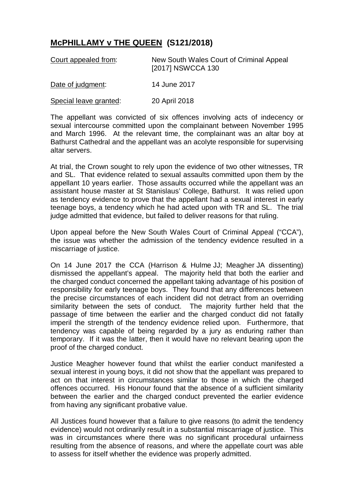## **McPHILLAMY v THE QUEEN (S121/2018)**

| Court appealed from:   | New South Wales Court of Criminal Appeal<br>[2017] NSWCCA 130 |
|------------------------|---------------------------------------------------------------|
| Date of judgment:      | 14 June 2017                                                  |
| Special leave granted: | 20 April 2018                                                 |

The appellant was convicted of six offences involving acts of indecency or sexual intercourse committed upon the complainant between November 1995 and March 1996. At the relevant time, the complainant was an altar boy at Bathurst Cathedral and the appellant was an acolyte responsible for supervising altar servers.

At trial, the Crown sought to rely upon the evidence of two other witnesses, TR and SL. That evidence related to sexual assaults committed upon them by the appellant 10 years earlier. Those assaults occurred while the appellant was an assistant house master at St Stanislaus' College, Bathurst. It was relied upon as tendency evidence to prove that the appellant had a sexual interest in early teenage boys, a tendency which he had acted upon with TR and SL. The trial judge admitted that evidence, but failed to deliver reasons for that ruling.

Upon appeal before the New South Wales Court of Criminal Appeal ("CCA"), the issue was whether the admission of the tendency evidence resulted in a miscarriage of justice.

On 14 June 2017 the CCA (Harrison & Hulme JJ; Meagher JA dissenting) dismissed the appellant's appeal. The majority held that both the earlier and the charged conduct concerned the appellant taking advantage of his position of responsibility for early teenage boys. They found that any differences between the precise circumstances of each incident did not detract from an overriding similarity between the sets of conduct. The majority further held that the passage of time between the earlier and the charged conduct did not fatally imperil the strength of the tendency evidence relied upon. Furthermore, that tendency was capable of being regarded by a jury as enduring rather than temporary. If it was the latter, then it would have no relevant bearing upon the proof of the charged conduct.

Justice Meagher however found that whilst the earlier conduct manifested a sexual interest in young boys, it did not show that the appellant was prepared to act on that interest in circumstances similar to those in which the charged offences occurred. His Honour found that the absence of a sufficient similarity between the earlier and the charged conduct prevented the earlier evidence from having any significant probative value.

All Justices found however that a failure to give reasons (to admit the tendency evidence) would not ordinarily result in a substantial miscarriage of justice. This was in circumstances where there was no significant procedural unfairness resulting from the absence of reasons, and where the appellate court was able to assess for itself whether the evidence was properly admitted.